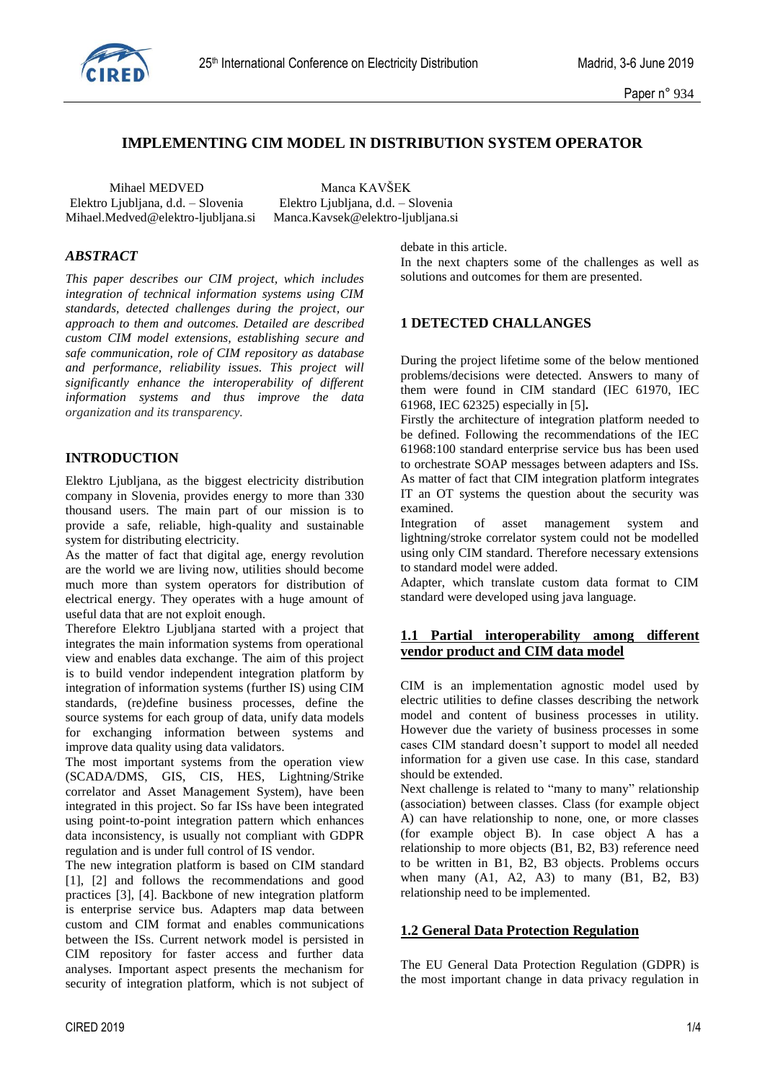

# **IMPLEMENTING CIM MODEL IN DISTRIBUTION SYSTEM OPERATOR**

Mihael MEDVED Manca KAVŠEK Elektro Ljubljana, d.d. – Slovenia Elektro Ljubljana, d.d. – Slovenia Mihael.Medved@elektro-ljubljana.si Manca.Kavsek@elektro-ljubljana.si

#### *ABSTRACT*

*This paper describes our CIM project, which includes integration of technical information systems using CIM standards, detected challenges during the project, our approach to them and outcomes. Detailed are described custom CIM model extensions, establishing secure and safe communication, role of CIM repository as database and performance, reliability issues. This project will significantly enhance the interoperability of different information systems and thus improve the data organization and its transparency.*

# **INTRODUCTION**

Elektro Ljubljana, as the biggest electricity distribution company in Slovenia, provides energy to more than 330 thousand users. The main part of our mission is to provide a safe, reliable, high-quality and sustainable system for distributing electricity.

As the matter of fact that digital age, energy revolution are the world we are living now, utilities should become much more than system operators for distribution of electrical energy. They operates with a huge amount of useful data that are not exploit enough.

Therefore Elektro Ljubljana started with a project that integrates the main information systems from operational view and enables data exchange. The aim of this project is to build vendor independent integration platform by integration of information systems (further IS) using CIM standards, (re)define business processes, define the source systems for each group of data, unify data models for exchanging information between systems and improve data quality using data validators.

The most important systems from the operation view (SCADA/DMS, GIS, CIS, HES, Lightning/Strike correlator and Asset Management System), have been integrated in this project. So far ISs have been integrated using point-to-point integration pattern which enhances data inconsistency, is usually not compliant with GDPR regulation and is under full control of IS vendor.

The new integration platform is based on CIM standard [1], [2] and follows the recommendations and good practices [3], [4]. Backbone of new integration platform is enterprise service bus. Adapters map data between custom and CIM format and enables communications between the ISs. Current network model is persisted in CIM repository for faster access and further data analyses. Important aspect presents the mechanism for security of integration platform, which is not subject of debate in this article.

In the next chapters some of the challenges as well as solutions and outcomes for them are presented.

# **1 DETECTED CHALLANGES**

During the project lifetime some of the below mentioned problems/decisions were detected. Answers to many of them were found in CIM standard (IEC 61970, IEC 61968, IEC 62325) especially in [5]**.**

Firstly the architecture of integration platform needed to be defined. Following the recommendations of the IEC 61968:100 standard enterprise service bus has been used to orchestrate SOAP messages between adapters and ISs. As matter of fact that CIM integration platform integrates IT an OT systems the question about the security was examined.

Integration of asset management system and lightning/stroke correlator system could not be modelled using only CIM standard. Therefore necessary extensions to standard model were added.

Adapter, which translate custom data format to CIM standard were developed using java language.

# **1.1 Partial interoperability among different vendor product and CIM data model**

CIM is an implementation agnostic model used by electric utilities to define classes describing the network model and content of business processes in utility. However due the variety of business processes in some cases CIM standard doesn't support to model all needed information for a given use case. In this case, standard should be extended.

Next challenge is related to "many to many" relationship (association) between classes. Class (for example object A) can have relationship to none, one, or more classes (for example object B). In case object A has a relationship to more objects (B1, B2, B3) reference need to be written in B1, B2, B3 objects. Problems occurs when many (A1, A2, A3) to many (B1, B2, B3) relationship need to be implemented.

#### **1.2 General Data Protection Regulation**

The EU General Data Protection Regulation (GDPR) is the most important change in data privacy regulation in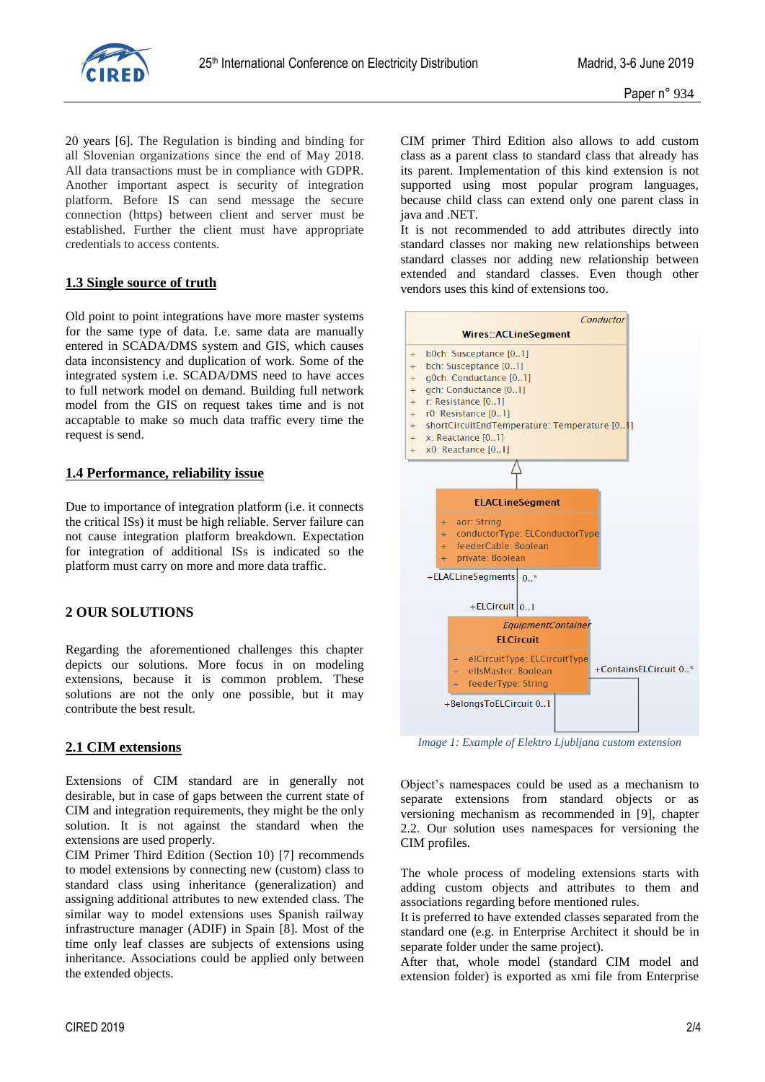

20 years [6]. The Regulation is binding and binding for all Slovenian organizations since the end of May 2018. All data transactions must be in compliance with GDPR. Another important aspect is security of integration platform. Before IS can send message the secure connection (https) between client and server must be established. Further the client must have appropriate credentials to access contents.

### **1.3 Single source of truth**

Old point to point integrations have more master systems for the same type of data. I.e. same data are manually entered in SCADA/DMS system and GIS, which causes data inconsistency and duplication of work. Some of the integrated system i.e. SCADA/DMS need to have acces to full network model on demand. Building full network model from the GIS on request takes time and is not accaptable to make so much data traffic every time the request is send.

## **1.4 Performance, reliability issue**

Due to importance of integration platform (i.e. it connects the critical ISs) it must be high reliable. Server failure can not cause integration platform breakdown. Expectation for integration of additional ISs is indicated so the platform must carry on more and more data traffic.

# **2 OUR SOLUTIONS**

Regarding the aforementioned challenges this chapter depicts our solutions. More focus in on modeling extensions, because it is common problem. These solutions are not the only one possible, but it may contribute the best result.

# **2.1 CIM extensions**

Extensions of CIM standard are in generally not desirable, but in case of gaps between the current state of CIM and integration requirements, they might be the only solution. It is not against the standard when the extensions are used properly.

CIM Primer Third Edition (Section 10) [7] recommends to model extensions by connecting new (custom) class to standard class using inheritance (generalization) and assigning additional attributes to new extended class. The similar way to model extensions uses Spanish railway infrastructure manager (ADIF) in Spain [8]. Most of the time only leaf classes are subjects of extensions using inheritance. Associations could be applied only between the extended objects.

CIM primer Third Edition also allows to add custom class as a parent class to standard class that already has its parent. Implementation of this kind extension is not supported using most popular program languages, because child class can extend only one parent class in java and .NET.

It is not recommended to add attributes directly into standard classes nor making new relationships between standard classes nor adding new relationship between extended and standard classes. Even though other vendors uses this kind of extensions too.



*Image 1: Example of Elektro Ljubljana custom extension*

Object's namespaces could be used as a mechanism to separate extensions from standard objects or as versioning mechanism as recommended in [9], chapter 2.2. Our solution uses namespaces for versioning the CIM profiles.

The whole process of modeling extensions starts with adding custom objects and attributes to them and associations regarding before mentioned rules.

It is preferred to have extended classes separated from the standard one (e.g. in Enterprise Architect it should be in separate folder under the same project).

After that, whole model (standard CIM model and extension folder) is exported as xmi file from Enterprise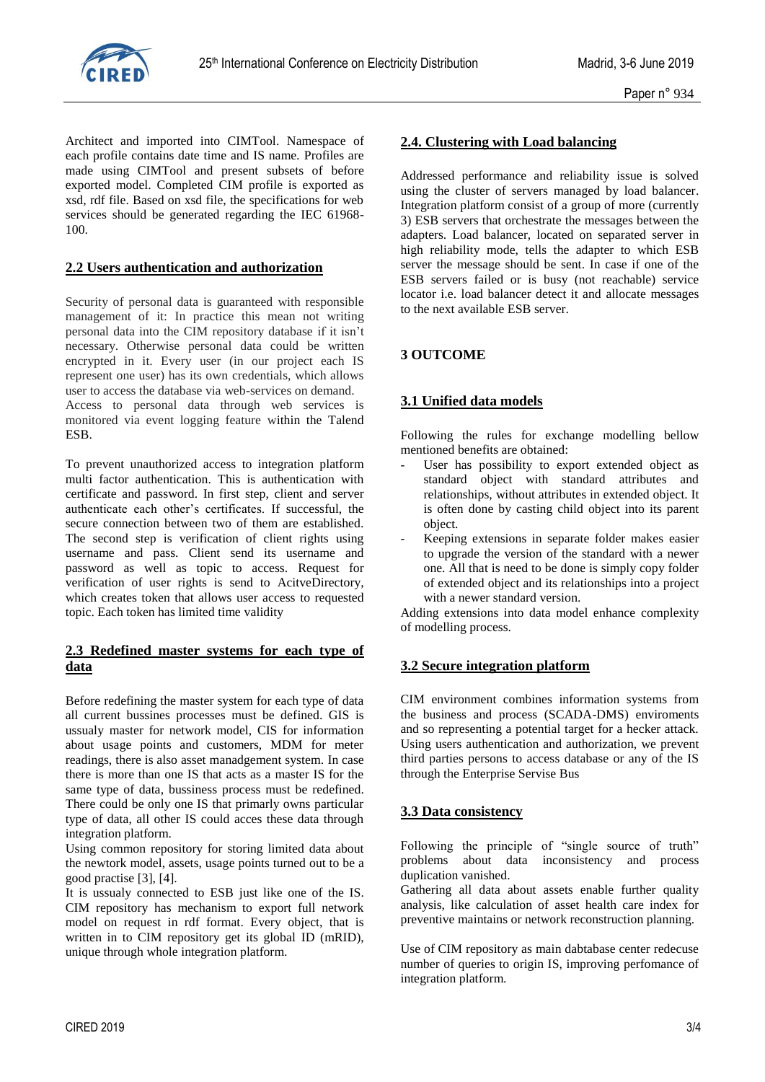

Architect and imported into CIMTool. Namespace of each profile contains date time and IS name. Profiles are made using CIMTool and present subsets of before exported model. Completed CIM profile is exported as xsd, rdf file. Based on xsd file, the specifications for web services should be generated regarding the IEC 61968- 100.

## **2.2 Users authentication and authorization**

Security of personal data is guaranteed with responsible management of it: In practice this mean not writing personal data into the CIM repository database if it isn't necessary. Otherwise personal data could be written encrypted in it. Every user (in our project each IS represent one user) has its own credentials, which allows user to access the database via web-services on demand. Access to personal data through web services is monitored via event logging feature within the Talend ESB.

To prevent unauthorized access to integration platform multi factor authentication. This is authentication with certificate and password. In first step, client and server authenticate each other's certificates. If successful, the secure connection between two of them are established. The second step is verification of client rights using username and pass. Client send its username and password as well as topic to access. Request for verification of user rights is send to AcitveDirectory, which creates token that allows user access to requested topic. Each token has limited time validity

# **2.3 Redefined master systems for each type of data**

Before redefining the master system for each type of data all current bussines processes must be defined. GIS is ussualy master for network model, CIS for information about usage points and customers, MDM for meter readings, there is also asset manadgement system. In case there is more than one IS that acts as a master IS for the same type of data, bussiness process must be redefined. There could be only one IS that primarly owns particular type of data, all other IS could acces these data through integration platform.

Using common repository for storing limited data about the newtork model, assets, usage points turned out to be a good practise [3], [4].

It is ussualy connected to ESB just like one of the IS. CIM repository has mechanism to export full network model on request in rdf format. Every object, that is written in to CIM repository get its global ID (mRID), unique through whole integration platform.

# **2.4. Clustering with Load balancing**

Addressed performance and reliability issue is solved using the cluster of servers managed by load balancer. Integration platform consist of a group of more (currently 3) ESB servers that orchestrate the messages between the adapters. Load balancer, located on separated server in high reliability mode, tells the adapter to which ESB server the message should be sent. In case if one of the ESB servers failed or is busy (not reachable) service locator i.e. load balancer detect it and allocate messages to the next available ESB server.

# **3 OUTCOME**

# **3.1 Unified data models**

Following the rules for exchange modelling bellow mentioned benefits are obtained:

- User has possibility to export extended object as standard object with standard attributes and relationships, without attributes in extended object. It is often done by casting child object into its parent object.
- Keeping extensions in separate folder makes easier to upgrade the version of the standard with a newer one. All that is need to be done is simply copy folder of extended object and its relationships into a project with a newer standard version.

Adding extensions into data model enhance complexity of modelling process.

#### **3.2 Secure integration platform**

CIM environment combines information systems from the business and process (SCADA-DMS) enviroments and so representing a potential target for a hecker attack. Using users authentication and authorization, we prevent third parties persons to access database or any of the IS through the Enterprise Servise Bus

# **3.3 Data consistency**

Following the principle of "single source of truth" problems about data inconsistency and process duplication vanished.

Gathering all data about assets enable further quality analysis, like calculation of asset health care index for preventive maintains or network reconstruction planning.

Use of CIM repository as main dabtabase center redecuse number of queries to origin IS, improving perfomance of integration platform.